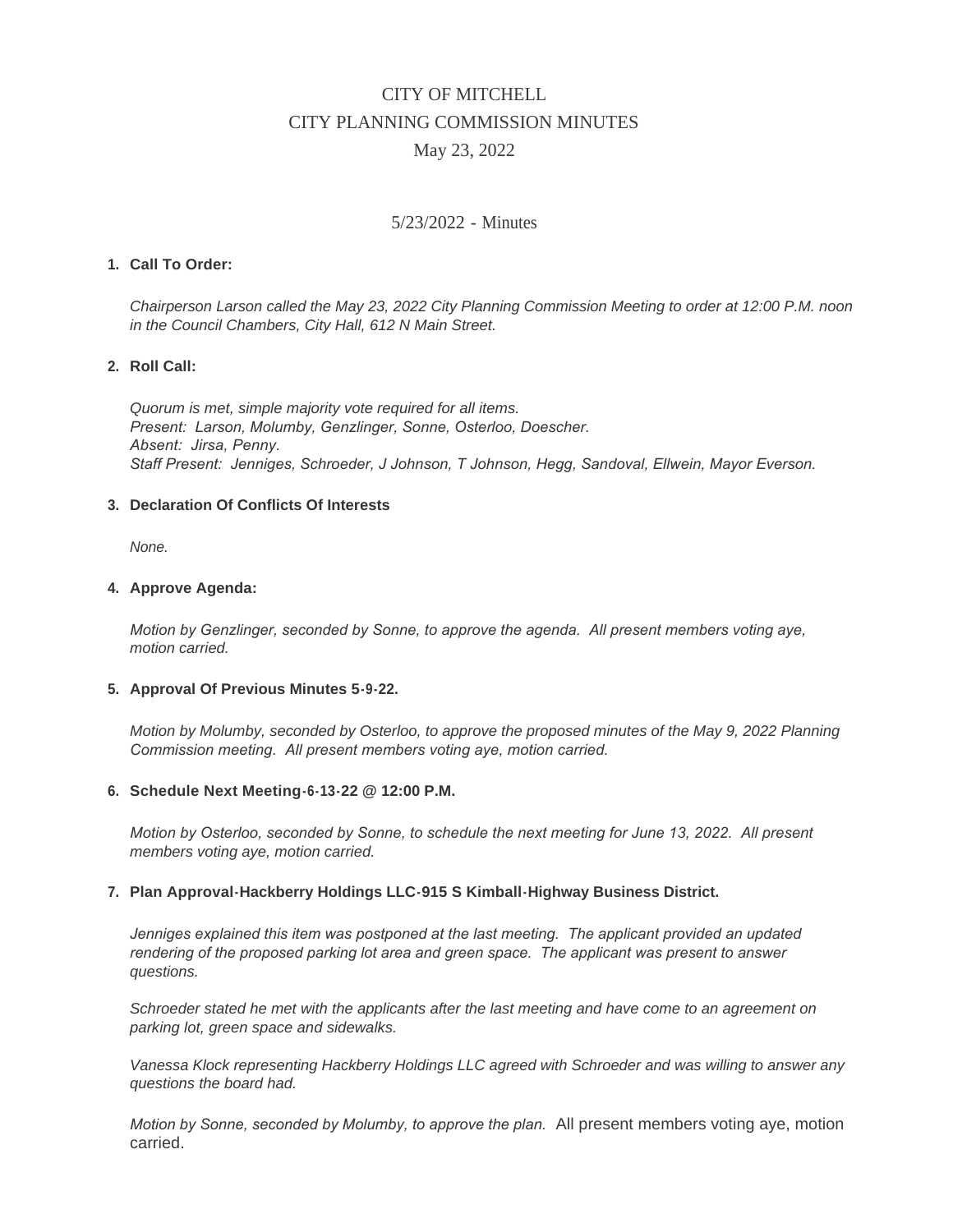# CITY OF MITCHELL CITY PLANNING COMMISSION MINUTES May 23, 2022

# 5/23/2022 - Minutes

# **Call To Order: 1.**

*Chairperson Larson called the May 23, 2022 City Planning Commission Meeting to order at 12:00 P.M. noon in the Council Chambers, City Hall, 612 N Main Street.*

#### **Roll Call: 2.**

*Quorum is met, simple majority vote required for all items. Present: Larson, Molumby, Genzlinger, Sonne, Osterloo, Doescher. Absent: Jirsa, Penny. Staff Present: Jenniges, Schroeder, J Johnson, T Johnson, Hegg, Sandoval, Ellwein, Mayor Everson.*

#### **Declaration Of Conflicts Of Interests 3.**

*None.*

#### **Approve Agenda: 4.**

*Motion by Genzlinger, seconded by Sonne, to approve the agenda. All present members voting aye, motion carried.*

#### **Approval Of Previous Minutes 5-9-22. 5.**

*Motion by Molumby, seconded by Osterloo, to approve the proposed minutes of the May 9, 2022 Planning Commission meeting. All present members voting aye, motion carried.*

#### **Schedule Next Meeting-6-13-22 @ 12:00 P.M. 6.**

*Motion by Osterloo, seconded by Sonne, to schedule the next meeting for June 13, 2022. All present members voting aye, motion carried.*

### **Plan Approval-Hackberry Holdings LLC-915 S Kimball-Highway Business District. 7.**

Jenniges explained this item was postponed at the last meeting. The applicant provided an updated *rendering of the proposed parking lot area and green space. The applicant was present to answer questions.*

*Schroeder stated he met with the applicants after the last meeting and have come to an agreement on parking lot, green space and sidewalks.*

*Vanessa Klock representing Hackberry Holdings LLC agreed with Schroeder and was willing to answer any questions the board had.*

*Motion by Sonne, seconded by Molumby, to approve the plan.* All present members voting aye, motion carried.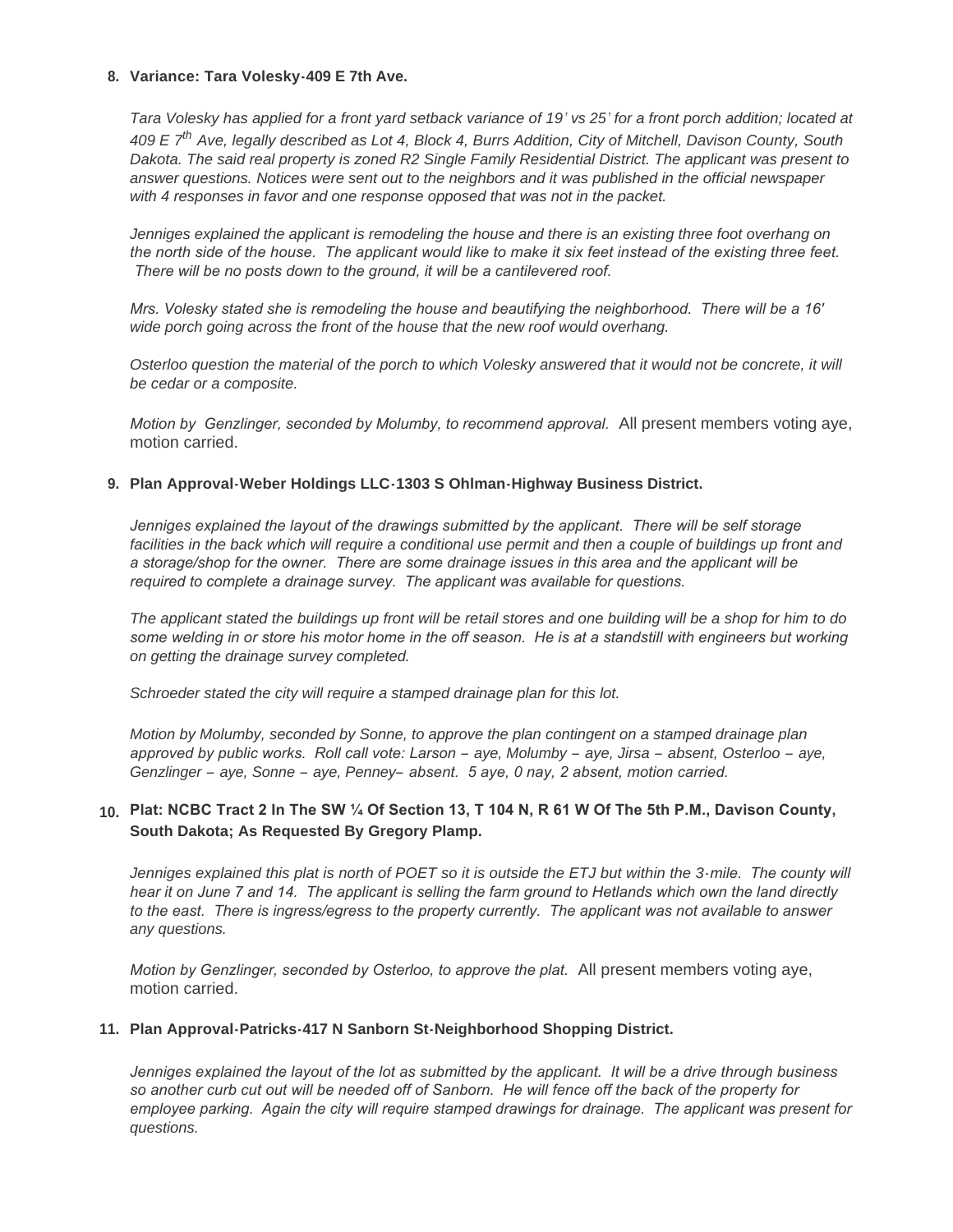#### **Variance: Tara Volesky-409 E 7th Ave. 8.**

*Tara Volesky has applied for a front yard setback variance of 19' vs 25' for a front porch addition; located at 409 E 7th Ave, legally described as Lot 4, Block 4, Burrs Addition, City of Mitchell, Davison County, South Dakota. The said real property is zoned R2 Single Family Residential District. The applicant was present to answer questions. Notices were sent out to the neighbors and it was published in the official newspaper with 4 responses in favor and one response opposed that was not in the packet.*

*Jenniges explained the applicant is remodeling the house and there is an existing three foot overhang on the north side of the house. The applicant would like to make it six feet instead of the existing three feet. There will be no posts down to the ground, it will be a cantilevered roof.* 

*Mrs. Volesky stated she is remodeling the house and beautifying the neighborhood. There will be a 16' wide porch going across the front of the house that the new roof would overhang.*

*Osterloo question the material of the porch to which Volesky answered that it would not be concrete, it will be cedar or a composite.*

*Motion by Genzlinger, seconded by Molumby, to recommend approval.* All present members voting aye, motion carried.

# **Plan Approval-Weber Holdings LLC-1303 S Ohlman-Highway Business District. 9.**

*Jenniges explained the layout of the drawings submitted by the applicant. There will be self storage* facilities in the back which will require a conditional use permit and then a couple of buildings up front and *a storage/shop for the owner. There are some drainage issues in this area and the applicant will be required to complete a drainage survey. The applicant was available for questions.*

*The applicant stated the buildings up front will be retail stores and one building will be a shop for him to do some welding in or store his motor home in the off season. He is at a standstill with engineers but working on getting the drainage survey completed.*

*Schroeder stated the city will require a stamped drainage plan for this lot.*

*Motion by Molumby, seconded by Sonne, to approve the plan contingent on a stamped drainage plan approved by public works. Roll call vote: Larson – aye, Molumby – aye, Jirsa – absent, Osterloo – aye, Genzlinger – aye, Sonne – aye, Penney– absent. 5 aye, 0 nay, 2 absent, motion carried.*

# **Plat: NCBC Tract 2 In The SW ¼ Of Section 13, T 104 N, R 61 W Of The 5th P.M., Davison County, 10. South Dakota; As Requested By Gregory Plamp.**

*Jenniges explained this plat is north of POET so it is outside the ETJ but within the 3-mile. The county will hear it on June 7 and 14. The applicant is selling the farm ground to Hetlands which own the land directly to the east. There is ingress/egress to the property currently. The applicant was not available to answer any questions.*

*Motion by Genzlinger, seconded by Osterloo, to approve the plat.* All present members voting aye, motion carried.

#### **Plan Approval-Patricks-417 N Sanborn St-Neighborhood Shopping District. 11.**

*Jenniges explained the layout of the lot as submitted by the applicant. It will be a drive through business so another curb cut out will be needed off of Sanborn. He will fence off the back of the property for employee parking. Again the city will require stamped drawings for drainage. The applicant was present for questions.*